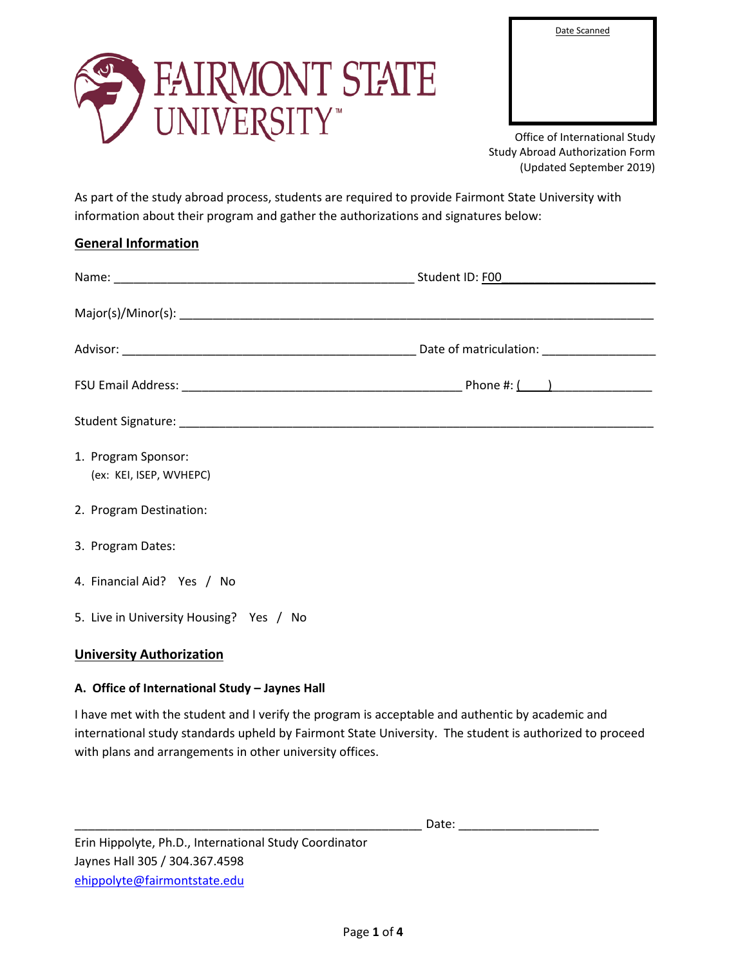Date Scanned



Office of International Study Study Abroad Authorization Form (Updated September 2019)

As part of the study abroad process, students are required to provide Fairmont State University with information about their program and gather the authorizations and signatures below:

# **General Information**

| 1. Program Sponsor:<br>(ex: KEI, ISEP, WVHEPC) |  |
|------------------------------------------------|--|
| 2. Program Destination:                        |  |
| 3. Program Dates:                              |  |
| 4. Financial Aid? Yes / No                     |  |
| 5. Live in University Housing? Yes / No        |  |

## **University Authorization**

## **A. Office of International Study – Jaynes Hall**

I have met with the student and I verify the program is acceptable and authentic by academic and international study standards upheld by Fairmont State University. The student is authorized to proceed with plans and arrangements in other university offices.

 $Date:$ 

Erin Hippolyte, Ph.D., International Study Coordinator Jaynes Hall 305 / 304.367.4598 [ehippolyte@fairmontstate.edu](mailto:ehippolyte@fairmontstate.edu)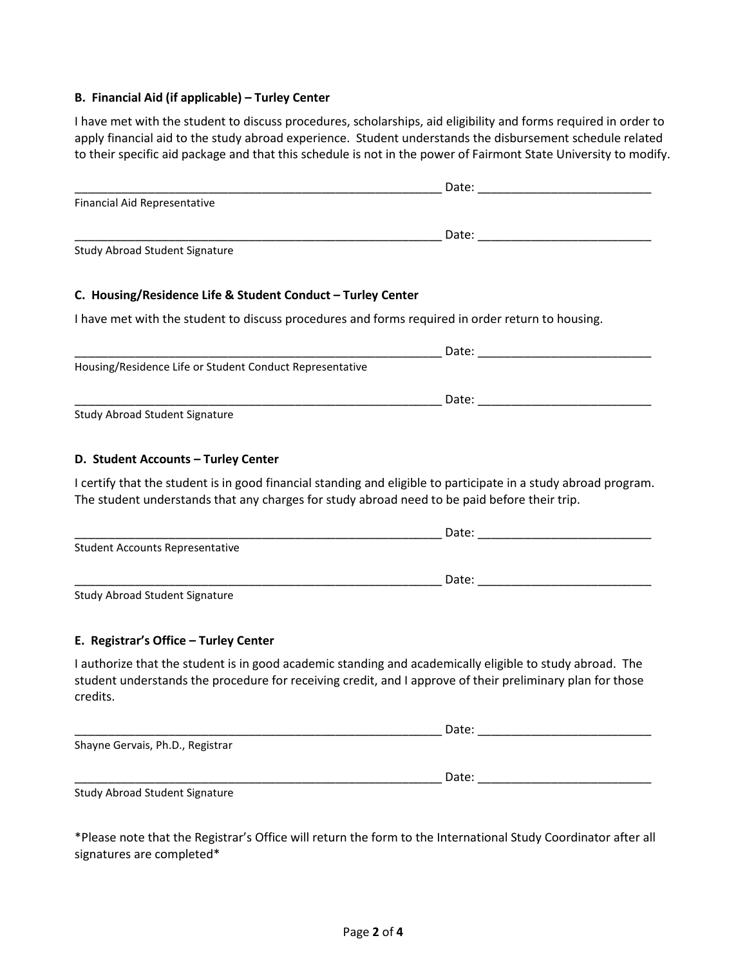### **B. Financial Aid (if applicable) – Turley Center**

I have met with the student to discuss procedures, scholarships, aid eligibility and forms required in order to apply financial aid to the study abroad experience. Student understands the disbursement schedule related to their specific aid package and that this schedule is not in the power of Fairmont State University to modify.

| Financial Aid Representative                                                                                                                                                                                                      |       |
|-----------------------------------------------------------------------------------------------------------------------------------------------------------------------------------------------------------------------------------|-------|
|                                                                                                                                                                                                                                   |       |
| Study Abroad Student Signature                                                                                                                                                                                                    |       |
| C. Housing/Residence Life & Student Conduct - Turley Center                                                                                                                                                                       |       |
| I have met with the student to discuss procedures and forms required in order return to housing.                                                                                                                                  |       |
|                                                                                                                                                                                                                                   |       |
| Housing/Residence Life or Student Conduct Representative                                                                                                                                                                          |       |
|                                                                                                                                                                                                                                   |       |
| Study Abroad Student Signature                                                                                                                                                                                                    |       |
| D. Student Accounts - Turley Center                                                                                                                                                                                               |       |
| I certify that the student is in good financial standing and eligible to participate in a study abroad program.<br>The student understands that any charges for study abroad need to be paid before their trip.                   |       |
|                                                                                                                                                                                                                                   |       |
| <b>Student Accounts Representative</b>                                                                                                                                                                                            |       |
|                                                                                                                                                                                                                                   |       |
| Study Abroad Student Signature                                                                                                                                                                                                    |       |
| E. Registrar's Office - Turley Center                                                                                                                                                                                             |       |
| I authorize that the student is in good academic standing and academically eligible to study abroad. The<br>student understands the procedure for receiving credit, and I approve of their preliminary plan for those<br>credits. |       |
|                                                                                                                                                                                                                                   | Date: |
| Shayne Gervais, Ph.D., Registrar                                                                                                                                                                                                  |       |
|                                                                                                                                                                                                                                   | Date: |
| Study Abroad Student Signature                                                                                                                                                                                                    |       |
|                                                                                                                                                                                                                                   |       |

\*Please note that the Registrar's Office will return the form to the International Study Coordinator after all signatures are completed\*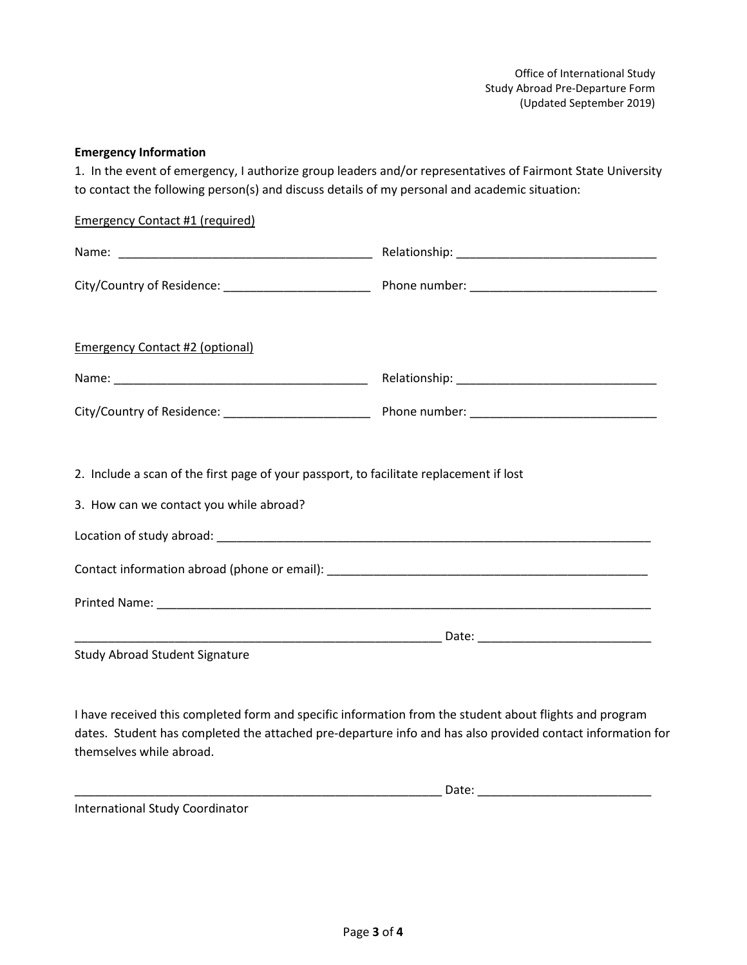### **Emergency Information**

1. In the event of emergency, I authorize group leaders and/or representatives of Fairmont State University to contact the following person(s) and discuss details of my personal and academic situation:

| <b>Emergency Contact #1 (required)</b>                                                                                                                                                                                |  |
|-----------------------------------------------------------------------------------------------------------------------------------------------------------------------------------------------------------------------|--|
|                                                                                                                                                                                                                       |  |
|                                                                                                                                                                                                                       |  |
| <b>Emergency Contact #2 (optional)</b>                                                                                                                                                                                |  |
|                                                                                                                                                                                                                       |  |
|                                                                                                                                                                                                                       |  |
| 2. Include a scan of the first page of your passport, to facilitate replacement if lost<br>3. How can we contact you while abroad?                                                                                    |  |
|                                                                                                                                                                                                                       |  |
| Study Abroad Student Signature                                                                                                                                                                                        |  |
| I have received this completed form and specific information from the student about flights and program<br>dates. Student has completed the attached pre-departure info and has also provided contact information for |  |

\_\_\_\_\_\_\_\_\_\_\_\_\_\_\_\_\_\_\_\_\_\_\_\_\_\_\_\_\_\_\_\_\_\_\_\_\_\_\_\_\_\_\_\_\_\_\_\_\_\_\_\_\_\_\_ Date: \_\_\_\_\_\_\_\_\_\_\_\_\_\_\_\_\_\_\_\_\_\_\_\_\_\_

International Study Coordinator

themselves while abroad.